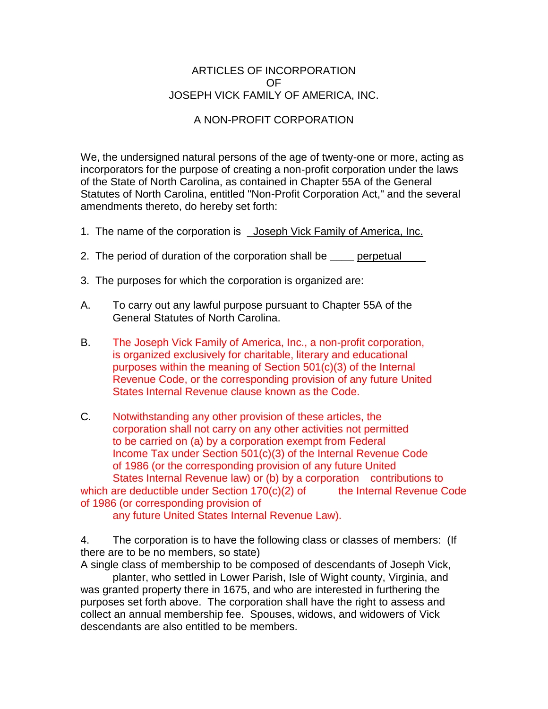## ARTICLES OF INCORPORATION OF JOSEPH VICK FAMILY OF AMERICA, INC.

## A NON-PROFIT CORPORATION

We, the undersigned natural persons of the age of twenty-one or more, acting as incorporators for the purpose of creating a non-profit corporation under the laws of the State of North Carolina, as contained in Chapter 55A of the General Statutes of North Carolina, entitled "Non-Profit Corporation Act," and the several amendments thereto, do hereby set forth:

- 1. The name of the corporation is \_Joseph Vick Family of America, Inc.
- 2. The period of duration of the corporation shall be **\_\_\_\_** perpetual\_\_\_\_
- 3. The purposes for which the corporation is organized are:
- A. To carry out any lawful purpose pursuant to Chapter 55A of the General Statutes of North Carolina.
- B. The Joseph Vick Family of America, Inc., a non-profit corporation, is organized exclusively for charitable, literary and educational purposes within the meaning of Section 501(c)(3) of the Internal Revenue Code, or the corresponding provision of any future United States Internal Revenue clause known as the Code.
- C. Notwithstanding any other provision of these articles, the corporation shall not carry on any other activities not permitted to be carried on (a) by a corporation exempt from Federal Income Tax under Section 501(c)(3) of the Internal Revenue Code of 1986 (or the corresponding provision of any future United States Internal Revenue law) or (b) by a corporation contributions to which are deductible under Section  $170(c)(2)$  of the Internal Revenue Code of 1986 (or corresponding provision of

any future United States Internal Revenue Law).

4. The corporation is to have the following class or classes of members: (If there are to be no members, so state)

A single class of membership to be composed of descendants of Joseph Vick,

planter, who settled in Lower Parish, Isle of Wight county, Virginia, and was granted property there in 1675, and who are interested in furthering the purposes set forth above. The corporation shall have the right to assess and collect an annual membership fee. Spouses, widows, and widowers of Vick descendants are also entitled to be members.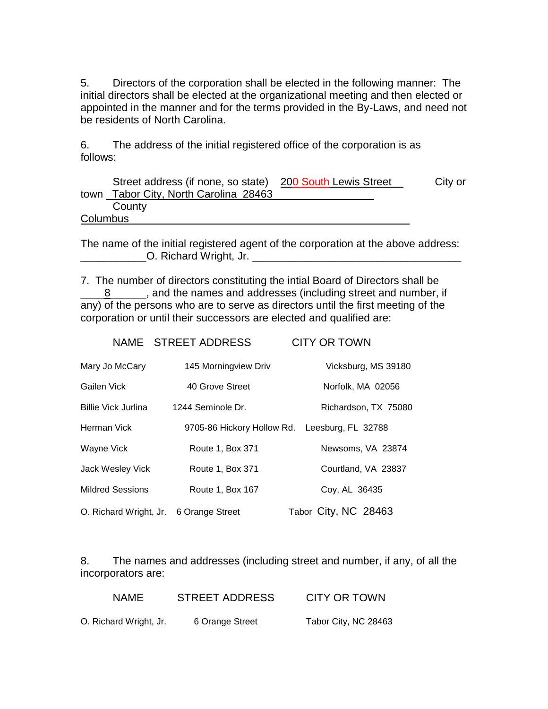5. Directors of the corporation shall be elected in the following manner: The initial directors shall be elected at the organizational meeting and then elected or appointed in the manner and for the terms provided in the By-Laws, and need not be residents of North Carolina.

6. The address of the initial registered office of the corporation is as follows:

|          | Street address (if none, so state) 200 South Lewis Street | City or |
|----------|-----------------------------------------------------------|---------|
|          | town Tabor City, North Carolina 28463                     |         |
|          | County                                                    |         |
| Columbus |                                                           |         |

The name of the initial registered agent of the corporation at the above address: O. Richard Wright, Jr.

7. The number of directors constituting the intial Board of Directors shall be 8 \_\_\_\_\_, and the names and addresses (including street and number, if any) of the persons who are to serve as directors until the first meeting of the corporation or until their successors are elected and qualified are:

|                            | NAME STREET ADDRESS  | <b>CITY OR TOWN</b>                           |
|----------------------------|----------------------|-----------------------------------------------|
| Mary Jo McCary             | 145 Morningview Driv | Vicksburg, MS 39180                           |
| Gailen Vick                | 40 Grove Street      | Norfolk, MA 02056                             |
| <b>Billie Vick Jurlina</b> | 1244 Seminole Dr.    | Richardson, TX 75080                          |
| Herman Vick                |                      | 9705-86 Hickory Hollow Rd. Leesburg, FL 32788 |
| Wayne Vick                 | Route 1, Box 371     | Newsoms, VA 23874                             |
| Jack Wesley Vick           | Route 1, Box 371     | Courtland, VA 23837                           |
| <b>Mildred Sessions</b>    | Route 1, Box 167     | Coy, AL 36435                                 |
| O. Richard Wright, Jr.     | 6 Orange Street      | Tabor City, NC 28463                          |

8. The names and addresses (including street and number, if any, of all the incorporators are:

| <b>NAME</b>            | <b>STREET ADDRESS</b> | <b>CITY OR TOWN</b>  |
|------------------------|-----------------------|----------------------|
| O. Richard Wright, Jr. | 6 Orange Street       | Tabor City, NC 28463 |